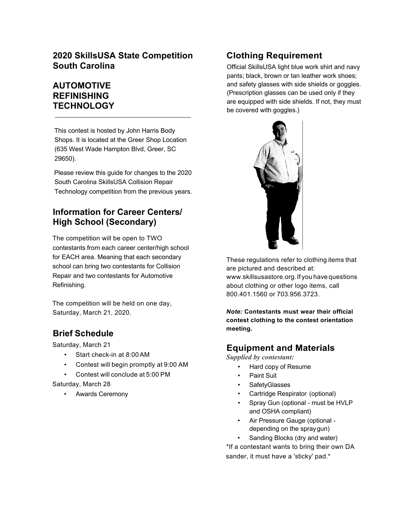## **2020 SkillsUSA State Competition South Carolina**

# **AUTOMOTIVE REFINISHING TECHNOLOGY**

This contest is hosted by John Harris Body Shops. It is located at the Greer Shop Location (635 West Wade Hampton Blvd, Greer, SC 29650).

Please review this guide for changes to the 2020 South Carolina SkillsUSA Collision Repair Technology competition from the previous years.

# **Information for Career Centers/ High School (Secondary)**

The competition will be open to TWO contestants from each career center/high school for EACH area. Meaning that each secondary school can bring two contestants for Collision Repair and two contestants for Automotive Refinishing.

The competition will be held on one day, Saturday, March 21, 2020.

# **Brief Schedule**

Saturday, March 21

- Start check-in at 8:00 AM
- Contest will begin promptly at 9:00 AM
- Contest will conclude at 5:00 PM

Saturday, March 28

• Awards Ceremony

# **Clothing Requirement**

Official SkillsUSA light blue work shirt and navy pants; black, brown or tan leather work shoes; and safety glasses with side shields or goggles. (Prescription glasses can be used only if they are equipped with side shields. If not, they must be covered with goggles.)



These regulations refer to clothing items that are pictured and described at: www.skillsusastore.org.If you have questions about clothing or other logo items, call 800.401.1560 or 703.956.3723.

*Note:* **Contestants must wear their official contest clothing to the contest orientation meeting.**

# **Equipment and Materials**

*Supplied by contestant:*

- Hard copy of Resume
- Paint Suit
- SafetyGlasses
- Cartridge Respirator (optional)
- Spray Gun (optional must be HVLP and OSHA compliant)
- Air Pressure Gauge (optional depending on the spraygun)
- Sanding Blocks (dry and water)

\*If a contestant wants to bring their own DA sander, it must have a 'sticky' pad.\*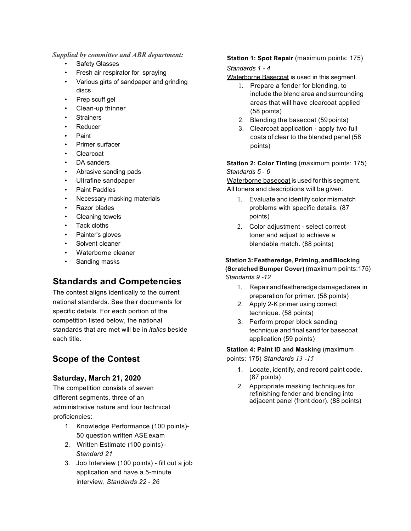#### *Supplied by committee and ABR department:*

- Safety Glasses
- Fresh air respirator for spraying
- Various girts of sandpaper and grinding discs
- Prep scuff gel
- Clean-up thinner
- **Strainers**
- **Reducer**
- Paint
- Primer surfacer
- **Clearcoat**
- DA sanders
- Abrasive sanding pads
- Ultrafine sandpaper
- Paint Paddles
- Necessary masking materials
- Razor blades
- Cleaning towels
- Tack cloths
- Painter's gloves
- Solvent cleaner
- Waterborne cleaner
- Sanding masks

# **Standards and Competencies**

The contest aligns identically to the current national standards. See their documents for specific details. For each portion of the competition listed below, the national standards that are met will be in *italics* beside each title.

# **Scope of the Contest**

### **Saturday, March 21, 2020**

The competition consists of seven different segments, three of an administrative nature and four technical proficiencies:

- 1. Knowledge Performance (100 points)- 50 question written ASEexam
- 2. Written Estimate (100 points) *Standard 21*
- 3. Job Interview (100 points) fill out a job application and have a 5-minute interview. *Standards 22* - *26*

#### **Station 1: Spot Repair** (maximum points: 175)

#### *Standards 1* - *4*

Waterborne Basecoat is used in this segment.

- 1. Prepare a fender for blending, to include the blend area and surrounding areas that will have clearcoat applied (58 points)
- 2. Blending the basecoat (59points)
- 3. Clearcoat application apply two full coats of clear to the blended panel (58 points)

**Station 2: Color Tinting (maximum points: 175)** *Standards 5* - *6*

Waterborne basecoat is used for this segment. All toners and descriptions will be given.

- 1. Evaluate and identify color mismatch problems with specific details. (87 points)
- 2. Color adjustment select correct toner and adjust to achieve a blendable match. (88 points)

#### **Station 3:Featheredge, Priming, and Blocking (Scratched Bumper Cover)** (maximum points:175)

*Standards 9 -12*

- 1. Repair andfeatheredge damaged area in preparation for primer. (58 points)
- 2. Apply 2-K primer using correct technique. (58 points)
- 3. Perform proper block sanding technique and final sand for basecoat application (59 points)

**Station 4: Paint ID and Masking** (maximum points: 175) *Standards 13 -15*

- 1. Locate, identify, and record paint code. (87 points)
- 2. Appropriate masking techniques for refinishing fender and blending into adjacent panel (front door). (88 points)